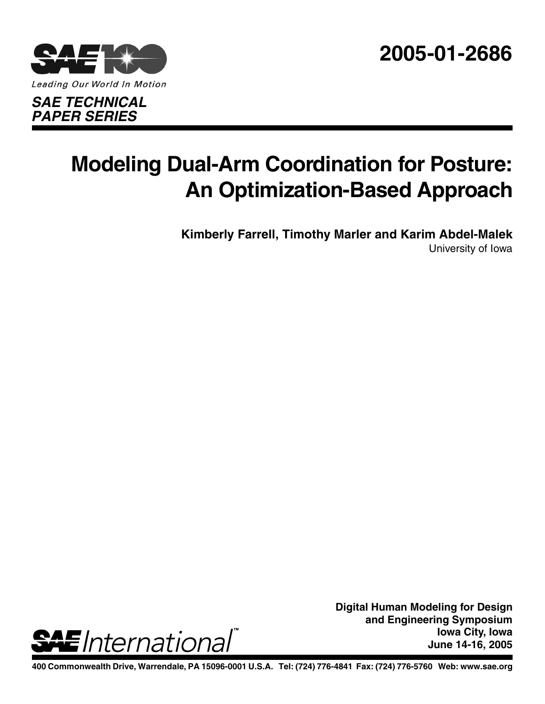



### *SAE TECHNICAL PAPER SERIES*

# **Modeling Dual-Arm Coordination for Posture: An Optimization-Based Approach**

**Kimberly Farrell, Timothy Marler and Karim Abdel-Malek** University of Iowa



**Digital Human Modeling for Design and Engineering Symposium Iowa City, Iowa June 14-16, 2005**

**400 Commonwealth Drive, Warrendale, PA 15096-0001 U.S.A. Tel: (724) 776-4841 Fax: (724) 776-5760 Web: www.sae.org**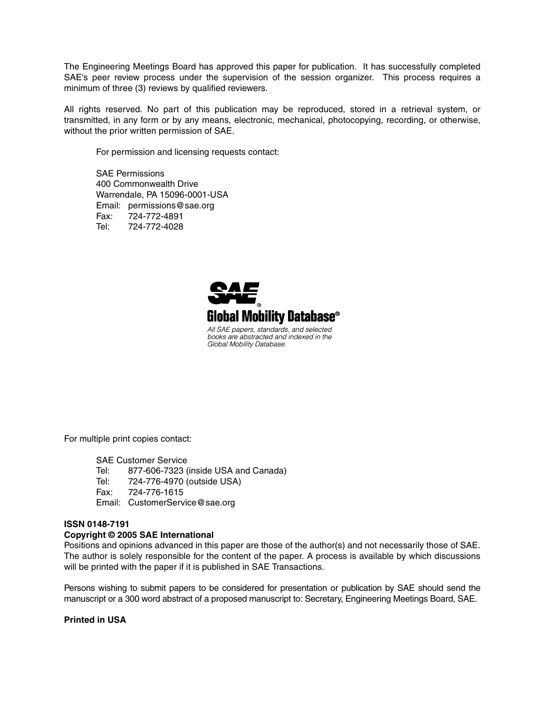The Engineering Meetings Board has approved this paper for publication. It has successfully completed SAE's peer review process under the supervision of the session organizer. This process requires a minimum of three (3) reviews by qualified reviewers.

All rights reserved. No part of this publication may be reproduced, stored in a retrieval system, or transmitted, in any form or by any means, electronic, mechanical, photocopying, recording, or otherwise, without the prior written permission of SAE.

For permission and licensing requests contact:

SAE Permissions 400 Commonwealth Drive Warrendale, PA 15096-0001-USA Email: permissions@sae.org Fax: 724-772-4891 Tel: 724-772-4028



For multiple print copies contact:

SAE Customer Service

Tel: 877-606-7323 (inside USA and Canada)

Tel: 724-776-4970 (outside USA)

Fax: 724-776-1615

Email: CustomerService@sae.org

#### **ISSN 0148-7191**

#### **Copyright © 2005 SAE International**

Positions and opinions advanced in this paper are those of the author(s) and not necessarily those of SAE. The author is solely responsible for the content of the paper. A process is available by which discussions will be printed with the paper if it is published in SAE Transactions.

Persons wishing to submit papers to be considered for presentation or publication by SAE should send the manuscript or a 300 word abstract of a proposed manuscript to: Secretary, Engineering Meetings Board, SAE.

**Printed in USA**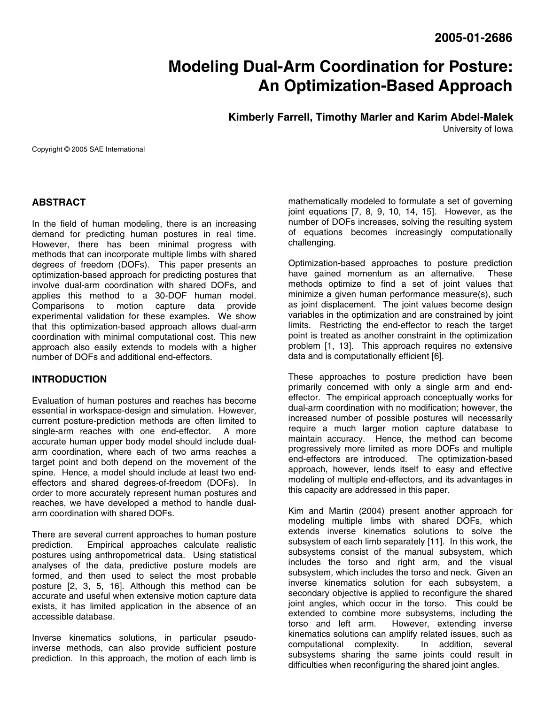## **Modeling Dual-Arm Coordination for Posture: An Optimization-Based Approach**

**Kimberly Farrell, Timothy Marler and Karim Abdel-Malek** 

University of Iowa

Copyright © 2005 SAE International

#### **ABSTRACT**

In the field of human modeling, there is an increasing demand for predicting human postures in real time. However, there has been minimal progress with methods that can incorporate multiple limbs with shared degrees of freedom (DOFs). This paper presents an optimization-based approach for predicting postures that involve dual-arm coordination with shared DOFs, and applies this method to a 30-DOF human model.<br>Comparisons to motion capture data provide Comparisons to motion capture data provide experimental validation for these examples. We show that this optimization-based approach allows dual-arm coordination with minimal computational cost. This new approach also easily extends to models with a higher number of DOFs and additional end-effectors.

#### **INTRODUCTION**

Evaluation of human postures and reaches has become essential in workspace-design and simulation. However, current posture-prediction methods are often limited to single-arm reaches with one end-effector. A more accurate human upper body model should include dualarm coordination, where each of two arms reaches a target point and both depend on the movement of the spine. Hence, a model should include at least two endeffectors and shared degrees-of-freedom (DOFs). In order to more accurately represent human postures and reaches, we have developed a method to handle dualarm coordination with shared DOFs.

There are several current approaches to human posture prediction. Empirical approaches calculate realistic postures using anthropometrical data. Using statistical analyses of the data, predictive posture models are formed, and then used to select the most probable posture [2, 3, 5, 16]. Although this method can be accurate and useful when extensive motion capture data exists, it has limited application in the absence of an accessible database.

Inverse kinematics solutions, in particular pseudoinverse methods, can also provide sufficient posture prediction. In this approach, the motion of each limb is

mathematically modeled to formulate a set of governing joint equations [7, 8, 9, 10, 14, 15]. However, as the number of DOFs increases, solving the resulting system of equations becomes increasingly computationally challenging.

Optimization-based approaches to posture prediction have gained momentum as an alternative. These methods optimize to find a set of joint values that minimize a given human performance measure(s), such as joint displacement. The joint values become design variables in the optimization and are constrained by joint limits. Restricting the end-effector to reach the target point is treated as another constraint in the optimization problem [1, 13]. This approach requires no extensive data and is computationally efficient [6].

These approaches to posture prediction have been primarily concerned with only a single arm and endeffector. The empirical approach conceptually works for dual-arm coordination with no modification; however, the increased number of possible postures will necessarily require a much larger motion capture database to maintain accuracy. Hence, the method can become progressively more limited as more DOFs and multiple end-effectors are introduced. The optimization-based approach, however, lends itself to easy and effective modeling of multiple end-effectors, and its advantages in this capacity are addressed in this paper.

Kim and Martin (2004) present another approach for modeling multiple limbs with shared DOFs, which extends inverse kinematics solutions to solve the subsystem of each limb separately [11]. In this work, the subsystems consist of the manual subsystem, which includes the torso and right arm, and the visual subsystem, which includes the torso and neck. Given an inverse kinematics solution for each subsystem, a secondary objective is applied to reconfigure the shared joint angles, which occur in the torso. This could be extended to combine more subsystems, including the torso and left arm. However, extending inverse However, extending inverse kinematics solutions can amplify related issues, such as computational complexity. In addition, several subsystems sharing the same joints could result in difficulties when reconfiguring the shared joint angles.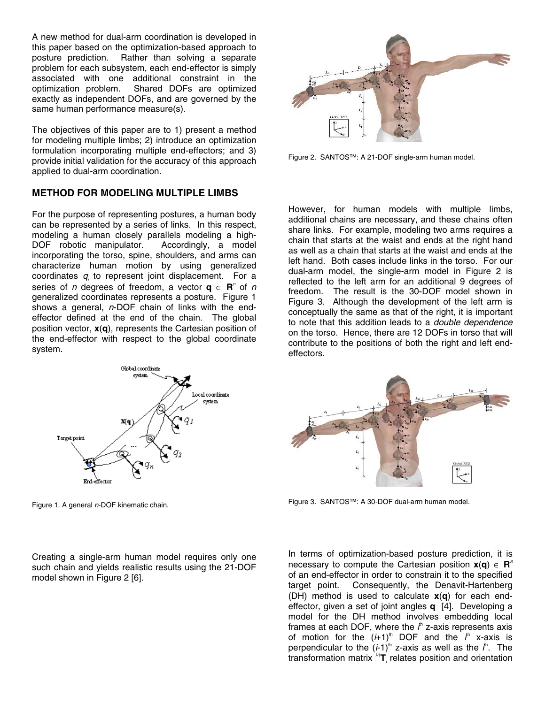A new method for dual-arm coordination is developed in this paper based on the optimization-based approach to posture prediction. Rather than solving a separate problem for each subsystem, each end-effector is simply associated with one additional constraint in the optimization problem. Shared DOFs are optimized exactly as independent DOFs, and are governed by the same human performance measure(s).

The objectives of this paper are to 1) present a method for modeling multiple limbs; 2) introduce an optimization formulation incorporating multiple end-effectors; and 3) provide initial validation for the accuracy of this approach applied to dual-arm coordination.

#### **METHOD FOR MODELING MULTIPLE LIMBS**

For the purpose of representing postures, a human body can be represented by a series of links. In this respect, modeling a human closely parallels modeling a high-DOF robotic manipulator. Accordingly, a model incorporating the torso, spine, shoulders, and arms can characterize human motion by using generalized coordinates *qi* to represent joint displacement. For a series of *n* degrees of freedom, a vector **q** ∈ **R**<sup>*n*</sup> of *n* generalized coordinates represents a posture. Figure 1 shows a general, *n*-DOF chain of links with the endeffector defined at the end of the chain. The global position vector, **x**(**q**), represents the Cartesian position of the end-effector with respect to the global coordinate system.



Figure 1. A general *n*-DOF kinematic chain.

Creating a single-arm human model requires only one such chain and yields realistic results using the 21-DOF model shown in Figure 2 [6].



Figure 2. SANTOS™: A 21-DOF single-arm human model.

However, for human models with multiple limbs, additional chains are necessary, and these chains often share links. For example, modeling two arms requires a chain that starts at the waist and ends at the right hand as well as a chain that starts at the waist and ends at the left hand. Both cases include links in the torso. For our dual-arm model, the single-arm model in Figure 2 is reflected to the left arm for an additional 9 degrees of freedom. The result is the 30-DOF model shown in Figure 3. Although the development of the left arm is conceptually the same as that of the right, it is important to note that this addition leads to a *double dependence*  on the torso. Hence, there are 12 DOFs in torso that will contribute to the positions of both the right and left endeffectors.



Figure 3. SANTOS™: A 30-DOF dual-arm human model.

In terms of optimization-based posture prediction, it is necessary to compute the Cartesian position  $x(q) \in R^3$ of an end-effector in order to constrain it to the specified target point. Consequently, the Denavit-Hartenberg (DH) method is used to calculate **x**(**q**) for each endeffector, given a set of joint angles **q** [4]. Developing a model for the DH method involves embedding local frames at each DOF, where the  $f<sup>th</sup>$  z-axis represents axis of motion for the  $(i+1)^{th}$  DOF and the  $i^{th}$  x-axis is perpendicular to the  $(i-1)^{th}$  z-axis as well as the  $i^{th}$ . The transformation matrix *<sup>i</sup>*-1**T***<sup>i</sup>* relates position and orientation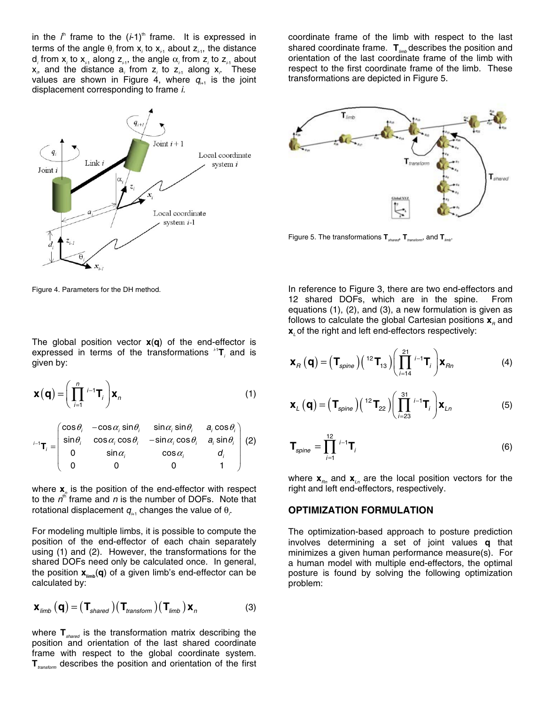in the  $i^{\text{th}}$  frame to the  $(i-1)^{\text{th}}$  frame. It is expressed in terms of the angle  $θ$ <sub>*i*</sub> from x<sub>i</sub> to x<sub><sup>*i*1</sub></sup> about z<sub>*i1</sub>*, the distance</sub></sub> d<sub>*i*</sub> from x<sub>*i*</sub> to x<sub>*i*-1</sub></sub> along z<sub>*i*-1</sub>, the angle  $\alpha$ <sub>*i*</sub> from z<sub>*i*</sub></sub> to z<sub>*i*-1</sub> about x*i* , and the distance a*<sup>i</sup>* from z*<sup>i</sup>* to z*i*-1 along x*<sup>i</sup>* . These values are shown in Figure 4, where  $q_{i+1}$  is the joint displacement corresponding to frame *i*.



coordinate frame of the limb with respect to the last shared coordinate frame. **T***limb* describes the position and orientation of the last coordinate frame of the limb with respect to the first coordinate frame of the limb. These transformations are depicted in Figure 5.



Figure 5. The transformations **T***shared*, **T***transform*, and **T***limb*.

Figure 4. Parameters for the DH method.

The global position vector **x**(**q**) of the end-effector is expressed in terms of the transformations  $\mathbf{f}^{\text{H}}$  and is given by:

$$
\mathbf{x}(\mathbf{q}) = \left(\prod_{i=1}^{n} {}^{i-1}\mathbf{T}_i\right) \mathbf{x}_n \tag{1}
$$

| ${}_{i-1}\mathbf{T}_i = \begin{pmatrix} \cos\theta_i & -\cos\alpha_i\sin\theta_i & \sin\alpha_i\sin\theta_i & a_i\cos\theta_i \\ \sin\theta_i & \cos\alpha_i\cos\theta_i & -\sin\alpha_i\cos\theta_i & a_i\sin\theta_i \end{pmatrix}$ (2) |                 |                 |  |
|-------------------------------------------------------------------------------------------------------------------------------------------------------------------------------------------------------------------------------------------|-----------------|-----------------|--|
|                                                                                                                                                                                                                                           |                 |                 |  |
|                                                                                                                                                                                                                                           | $\sin \alpha_i$ | $\cos \alpha_i$ |  |
|                                                                                                                                                                                                                                           |                 |                 |  |

where **x**<sub>n</sub> is the position of the end-effector with respect to the  $n<sup>th</sup>$  frame and  $n$  is the number of DOFs. Note that rotational displacement  $q_{\scriptscriptstyle \mu_1}$  changes the value of  $\theta_{\scriptscriptstyle \mu}$ 

For modeling multiple limbs, it is possible to compute the position of the end-effector of each chain separately using (1) and (2). However, the transformations for the shared DOFs need only be calculated once. In general, the position  $\mathbf{x}_{\text{limb}}(\mathbf{q})$  of a given limb's end-effector can be calculated by:

$$
\mathbf{x}_{\text{limb}}\left(\mathbf{q}\right) = \left(\mathbf{T}_{\text{shared}}\right)\left(\mathbf{T}_{\text{transform}}\right)\left(\mathbf{T}_{\text{limb}}\right)\mathbf{x}_{n} \tag{3}
$$

where **T**<sub>shared</sub> is the transformation matrix describing the position and orientation of the last shared coordinate frame with respect to the global coordinate system. **T***transform* describes the position and orientation of the first In reference to Figure 3, there are two end-effectors and 12 shared DOFs, which are in the spine. From equations (1), (2), and (3), a new formulation is given as follows to calculate the global Cartesian positions  $\mathbf{x}_n$  and **x**<sub>*l*</sub> of the right and left end-effectors respectively:

$$
\mathbf{X}_R\left(\mathbf{q}\right) = \left(\mathbf{T}_{\text{spine}}\right) \left(\begin{array}{c} 12 \\ 1 \end{array}\mathbf{T}_{13}\right) \left(\prod_{i=14}^{21} {^{i-1}\mathbf{T}_i}\right) \mathbf{X}_{Rn} \tag{4}
$$

$$
\mathbf{X}_{L}(\mathbf{q}) = (\mathbf{T}_{spine})(^{12}\mathbf{T}_{22}) \left(\prod_{i=23}^{31} {^{i-1}\mathbf{T}_{i}}\right) \mathbf{X}_{Ln}
$$
 (5)

$$
\mathbf{T}_{spine} = \prod_{i=1}^{12} {^{i-1}\mathbf{T}_i}
$$
 (6)

where  $\mathbf{x}_{n}$  and  $\mathbf{x}_{n}$  are the local position vectors for the right and left end-effectors, respectively.

#### **OPTIMIZATION FORMULATION**

The optimization-based approach to posture prediction involves determining a set of joint values **q** that minimizes a given human performance measure(s). For a human model with multiple end-effectors, the optimal posture is found by solving the following optimization problem: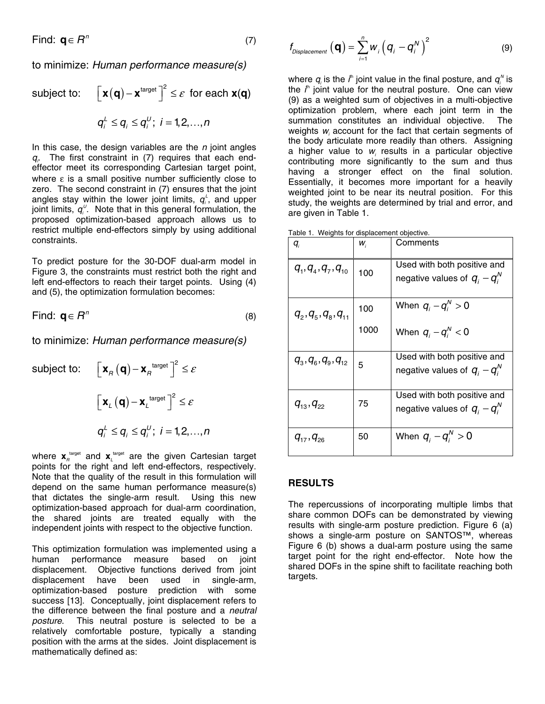Find:  $\mathbf{q} \in R^n$  (7)

to minimize: *Human performance measure(s)*

subject to: 
$$
\begin{bmatrix} \mathbf{x}(\mathbf{q}) - \mathbf{x}^{\text{target}} \end{bmatrix}^2 \leq \varepsilon \text{ for each } \mathbf{x}(\mathbf{q})
$$

$$
q_i^L \leq q_i \leq q_i^U; i = 1, 2, ..., n
$$

In this case, the design variables are the *n* joint angles *qi* . The first constraint in (7) requires that each endeffector meet its corresponding Cartesian target point, where  $\varepsilon$  is a small positive number sufficiently close to zero. The second constraint in (7) ensures that the joint angles stay within the lower joint limits,  $q_i^L$ , and upper joint limits,  $q_i^{\upsilon}$ . Note that in this general formulation, the proposed optimization-based approach allows us to restrict multiple end-effectors simply by using additional constraints.

To predict posture for the 30-DOF dual-arm model in Figure 3, the constraints must restrict both the right and left end-effectors to reach their target points. Using (4) and (5), the optimization formulation becomes:

Find: 
$$
\mathbf{q} \in \mathbf{R}^n \tag{8}
$$

to minimize: *Human performance measure(s)*

subject to:  $\left[\mathbf{x}_R\left(\mathbf{q}\right)-\mathbf{x}_R^{\text{ target}}\right]^2 \leq \varepsilon$ 

 $\left[\right.\mathbf{x}_{_{L}}\left(\mathbf{q}\right)-\mathbf{x}_{_{L}}^{\text{ target}}\left.\right]^{2}\leq\varepsilon$ 

 $q_i^L \leq q_i \leq q_i^U; i = 1,2,...,n$ where  $\mathbf{x}_{\scriptscriptstyle R}^{\scriptscriptstyle\text{target}}$  and  $\mathbf{x}_{\scriptscriptstyle L}^{\scriptscriptstyle\text{target}}$  are the given Cartesian target points for the right and left end-effectors, respectively. Note that the quality of the result in this formulation will depend on the same human performance measure(s) that dictates the single-arm result. Using this new optimization-based approach for dual-arm coordination, the shared joints are treated equally with the independent joints with respect to the objective function.

This optimization formulation was implemented using a human performance measure based on joint displacement. Objective functions derived from joint displacement have been used in single-arm, optimization-based posture prediction with some success [13]. Conceptually, joint displacement refers to the difference between the final posture and a *neutral posture*. This neutral posture is selected to be a relatively comfortable posture, typically a standing position with the arms at the sides. Joint displacement is mathematically defined as:

$$
f_{Displacement}(\mathbf{q}) = \sum_{i=1}^{n} w_i (q_i - q_i^N)^2
$$
 (9)

where  $q_i$  is the  $I^{\text{th}}$  joint value in the final posture, and  $q_i^{\text{n}}$  is the  $f^{\text{th}}$  joint value for the neutral posture. One can view (9) as a weighted sum of objectives in a multi-objective optimization problem, where each joint term in the summation constitutes an individual objective. The weights  $w_i$  account for the fact that certain segments of the body articulate more readily than others. Assigning a higher value to w<sub>i</sub> results in a particular objective contributing more significantly to the sum and thus having a stronger effect on the final solution. Essentially, it becomes more important for a heavily weighted joint to be near its neutral position. For this study, the weights are determined by trial and error, and are given in Table 1.

| ч,                                          | vv,  | טוויוויוטט                                                      |
|---------------------------------------------|------|-----------------------------------------------------------------|
| $q_1, q_4, q_7, q_{10}$                     | 100  | Used with both positive and<br>negative values of $q_i - q_i^N$ |
| $\bm{q}_2, \bm{q}_5, \bm{q}_8, \bm{q}_{11}$ | 100  | When $q_i - q_i^N > 0$                                          |
|                                             | 1000 | When $q_i - q_i^N < 0$                                          |
| $q_3, q_6, q_9, q_{12}$                     | 5    | Used with both positive and<br>negative values of $q_i - q_i^N$ |
| $q_{13}^{},q_{22}^{}$                       | 75   | Used with both positive and<br>negative values of $q_i - q_i^N$ |
| $q_{17}^{},q_{26}^{}$                       | 50   | When $q_i - q_i^N > 0$                                          |

Table 1. Weights for displacement objective. *<u>dividual</u>* Comments

#### **RESULTS**

The repercussions of incorporating multiple limbs that share common DOFs can be demonstrated by viewing results with single-arm posture prediction. Figure 6 (a) shows a single-arm posture on SANTOS™, whereas Figure 6 (b) shows a dual-arm posture using the same target point for the right end-effector. Note how the shared DOFs in the spine shift to facilitate reaching both targets.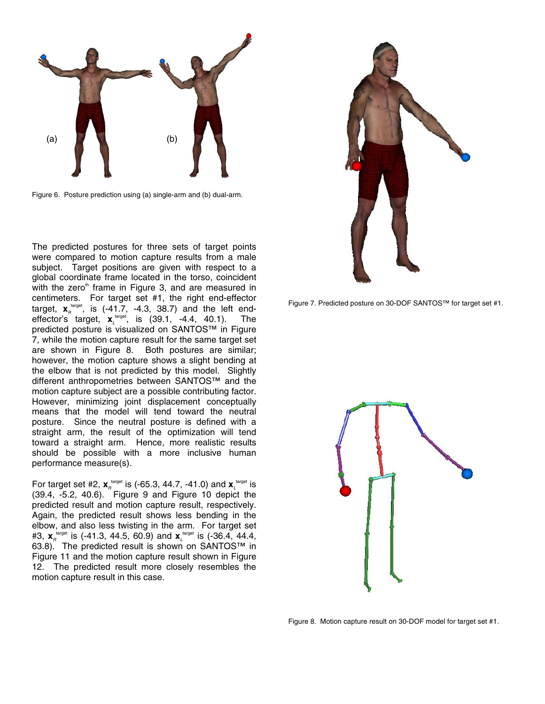

Figure 6. Posture prediction using (a) single-arm and (b) dual-arm.

The predicted postures for three sets of target points were compared to motion capture results from a male subject. Target positions are given with respect to a global coordinate frame located in the torso, coincident with the zero<sup>th</sup> frame in Figure 3, and are measured in centimeters. For target set #1, the right end-effector target,  $\mathbf{x}_{\scriptscriptstyle R}^{\scriptscriptstyle\text{target}}$ , is (-41.7, -4.3, 38.7) and the left endeffector's target,  $\mathbf{x}_L^{\text{target}}$ , is (39.1, -4.4, 40.1). The predicted posture is visualized on SANTOS™ in Figure 7, while the motion capture result for the same target set are shown in Figure 8. Both postures are similar; however, the motion capture shows a slight bending at the elbow that is not predicted by this model. Slightly different anthropometries between SANTOS™ and the motion capture subject are a possible contributing factor. However, minimizing joint displacement conceptually means that the model will tend toward the neutral posture. Since the neutral posture is defined with a straight arm, the result of the optimization will tend toward a straight arm. Hence, more realistic results should be possible with a more inclusive human performance measure(s).

For target set #2,  $\mathbf{x}_{R}^{\text{target}}$  is (-65.3, 44.7, -41.0) and  $\mathbf{x}_{L}^{\text{target}}$  is (39.4, -5.2, 40.6). Figure 9 and Figure 10 depict the predicted result and motion capture result, respectively. Again, the predicted result shows less bending in the elbow, and also less twisting in the arm. For target set #3, **x***<sup>R</sup>* target is (-41.3, 44.5, 60.9) and **x***<sup>L</sup>* target is (-36.4, 44.4, 63.8). The predicted result is shown on SANTOS™ in Figure 11 and the motion capture result shown in Figure 12. The predicted result more closely resembles the motion capture result in this case.



Figure 7. Predicted posture on 30-DOF SANTOS™ for target set #1.



Figure 8. Motion capture result on 30-DOF model for target set #1.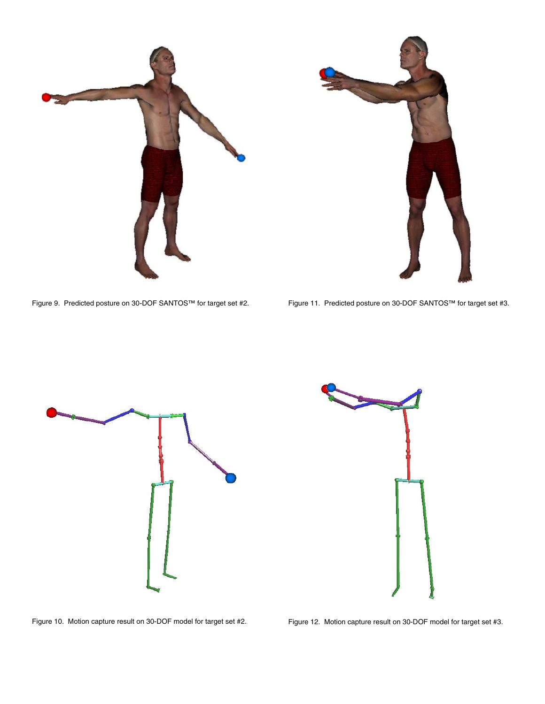

Figure 9. Predicted posture on 30-DOF SANTOS™ for target set #2.

Figure 11. Predicted posture on 30-DOF SANTOS™ for target set #3.



Figure 10. Motion capture result on 30-DOF model for target set #2.

Figure 12. Motion capture result on 30-DOF model for target set #3.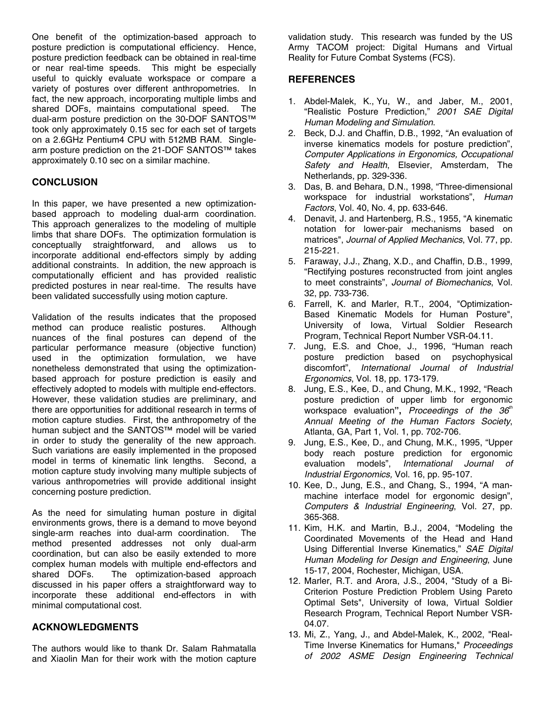One benefit of the optimization-based approach to posture prediction is computational efficiency. Hence, posture prediction feedback can be obtained in real-time or near real-time speeds. This might be especially useful to quickly evaluate workspace or compare a variety of postures over different anthropometries. In fact, the new approach, incorporating multiple limbs and shared DOFs, maintains computational speed. The dual-arm posture prediction on the 30-DOF SANTOS™ took only approximately 0.15 sec for each set of targets on a 2.6GHz Pentium4 CPU with 512MB RAM. Singlearm posture prediction on the 21-DOF SANTOS™ takes approximately 0.10 sec on a similar machine.

#### **CONCLUSION**

In this paper, we have presented a new optimizationbased approach to modeling dual-arm coordination. This approach generalizes to the modeling of multiple limbs that share DOFs. The optimization formulation is conceptually straightforward, and allows us to incorporate additional end-effectors simply by adding additional constraints. In addition, the new approach is computationally efficient and has provided realistic predicted postures in near real-time. The results have been validated successfully using motion capture.

Validation of the results indicates that the proposed<br>method can produce realistic postures. Although method can produce realistic postures. nuances of the final postures can depend of the particular performance measure (objective function) used in the optimization formulation, we have nonetheless demonstrated that using the optimizationbased approach for posture prediction is easily and effectively adopted to models with multiple end-effectors. However, these validation studies are preliminary, and there are opportunities for additional research in terms of motion capture studies. First, the anthropometry of the human subject and the SANTOS™ model will be varied in order to study the generality of the new approach. Such variations are easily implemented in the proposed model in terms of kinematic link lengths. Second, a motion capture study involving many multiple subjects of various anthropometries will provide additional insight concerning posture prediction.

As the need for simulating human posture in digital environments grows, there is a demand to move beyond single-arm reaches into dual-arm coordination. The method presented addresses not only dual-arm coordination, but can also be easily extended to more complex human models with multiple end-effectors and shared DOFs. The optimization-based approach discussed in his paper offers a straightforward way to incorporate these additional end-effectors in with minimal computational cost.

#### **ACKNOWLEDGMENTS**

The authors would like to thank Dr. Salam Rahmatalla and Xiaolin Man for their work with the motion capture

validation study. This research was funded by the US Army TACOM project: Digital Humans and Virtual Reality for Future Combat Systems (FCS).

#### **REFERENCES**

- 1. Abdel-Malek, K., Yu, W., and Jaber, M., 2001, "Realistic Posture Prediction," *2001 SAE Digital Human Modeling and Simulation*.
- 2. Beck, D.J. and Chaffin, D.B., 1992, "An evaluation of inverse kinematics models for posture prediction", *Computer Applications in Ergonomics, Occupational Safety and Health*, Elsevier, Amsterdam, The Netherlands, pp. 329-336.
- 3. Das, B. and Behara, D.N., 1998, "Three-dimensional workspace for industrial workstations", *Human Factors*, Vol. 40, No. 4, pp. 633-646.
- 4. Denavit, J. and Hartenberg, R.S., 1955, "A kinematic notation for lower-pair mechanisms based on matrices", *Journal of Applied Mechanics*, Vol. 77, pp. 215-221.
- 5. Faraway, J.J., Zhang, X.D., and Chaffin, D.B., 1999, "Rectifying postures reconstructed from joint angles to meet constraints", *Journal of Biomechanics*, Vol. 32, pp. 733-736.
- 6. Farrell, K. and Marler, R.T., 2004, "Optimization-Based Kinematic Models for Human Posture", University of Iowa, Virtual Soldier Research Program, Technical Report Number VSR-04.11.
- 7. Jung, E.S. and Choe, J., 1996, "Human reach posture prediction based on psychophysical discomfort", *International Journal of Industrial Ergonomics*, Vol. 18, pp. 173-179.
- 8. Jung, E.S., Kee, D., and Chung, M.K., 1992, "Reach posture prediction of upper limb for ergonomic workspace evaluation", Proceedings of the 36<sup>th</sup> *Annual Meeting of the Human Factors Society*, Atlanta, GA, Part 1, Vol. 1, pp. 702-706.
- 9. Jung, E.S., Kee, D., and Chung, M.K., 1995, "Upper body reach posture prediction for ergonomic evaluation models", *International Journal of Industrial Ergonomics,* Vol. 16, pp. 95-107.
- 10. Kee, D., Jung, E.S., and Chang, S., 1994, "A manmachine interface model for ergonomic design", *Computers & Industrial Engineering*, Vol. 27, pp. 365-368.
- 11. Kim, H.K. and Martin, B.J., 2004, "Modeling the Coordinated Movements of the Head and Hand Using Differential Inverse Kinematics," *SAE Digital Human Modeling for Design and Engineering*, June 15-17, 2004, Rochester, Michigan, USA.
- 12. Marler, R.T. and Arora, J.S., 2004, "Study of a Bi-Criterion Posture Prediction Problem Using Pareto Optimal Sets", University of Iowa, Virtual Soldier Research Program, Technical Report Number VSR-04.07.
- 13. Mi, Z., Yang, J., and Abdel-Malek, K., 2002, "Real-Time Inverse Kinematics for Humans," *Proceedings of 2002 ASME Design Engineering Technical*